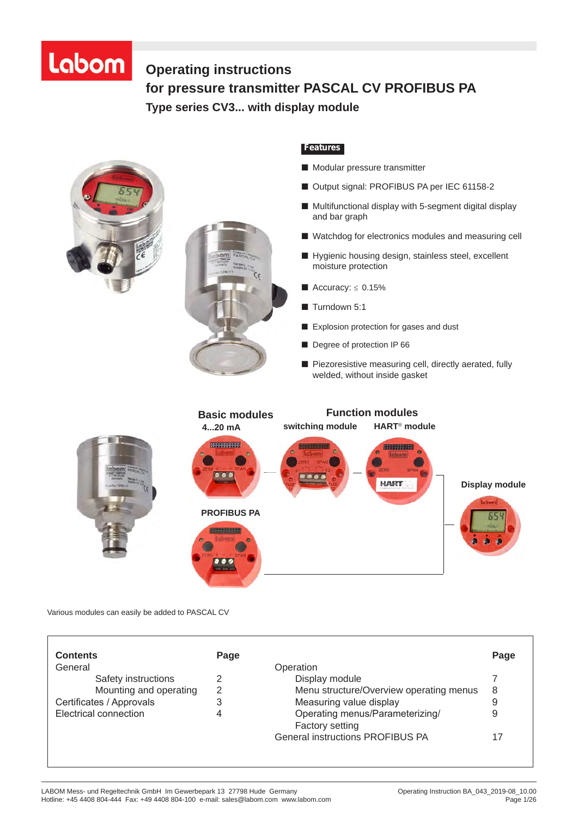# Labom

# **Operating instructions for pressure transmitter PASCAL CV PROFIBUS PA Operating Instructions for pressure transmitter Type series CV3... with display module**



Various modules can easily be added to PASCAL CV

| Page |
|------|
|      |
|      |
| 8    |
|      |
| 9    |
|      |
|      |
|      |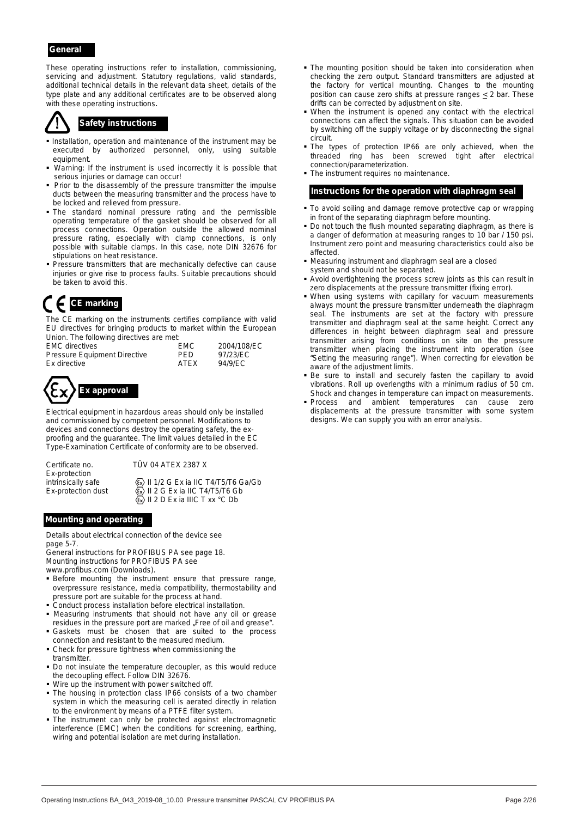#### *General*

These operating instructions refer to installation, commissioning, servicing and adjustment. Statutory regulations, valid standards, additional technical details in the relevant data sheet, details of the type plate and any additional certificates are to be observed along with these operating instructions.



# *Safety instructions*

- Installation, operation and maintenance of the instrument may be executed by authorized personnel, only, using suitable equipment.
- Warning: If the instrument is used incorrectly it is possible that serious injuries or damage can occur!
- **Prior to the disassembly of the pressure transmitter the impulse** ducts between the measuring transmitter and the process have to be locked and relieved from pressure.
- The standard nominal pressure rating and the permissible operating temperature of the gasket should be observed for all process connections. Operation outside the allowed nominal pressure rating, especially with clamp connections, is only possible with suitable clamps. In this case, note DIN 32676 for stipulations on heat resistance.
- **Pressure transmitters that are mechanically defective can cause** injuries or give rise to process faults. Suitable precautions should be taken to avoid this.

# *CE marking*

The CE marking on the instruments certifies compliance with valid EU directives for bringing products to market within the European Union. The following directives are met:

| <b>EMC</b> directives               | <b>EMC</b>  | 2004/108/EC |
|-------------------------------------|-------------|-------------|
| <b>Pressure Equipment Directive</b> | PFD.        | 97/23/EC    |
| Ex directive                        | <b>ATFX</b> | 94/9/EC     |



Electrical equipment in hazardous areas should only be installed and commissioned by competent personnel. Modifications to devices and connections destroy the operating safety, the exproofing and the guarantee. The limit values detailed in the EC Type-Examination Certificate of conformity are to be observed.

Certificate no. TÜV 04 ATEX 2387 X Ex-protection

intrinsically safe  $\langle \overline{x} \rangle$  II 1/2 G Ex ia IIC T4/T5/T6 Ga/Gb

Ex-protection dust  $\overline{\mathbb{Q}}$  II 2 G Ex ia IIC T4/T5/T6 Gb  $\langle \overline{\mathbb{E}} \rangle$  II 2 D Ex ia IIIC T xx °C Db

#### *Mounting and operating*

Details about electrical connection of the device see page 5-7.

General instructions for PROFIBUS PA see page 18. Mounting instructions for PROFIBUS PA see

- www.profibus.com (Downloads).
- Before mounting the instrument ensure that pressure range, overpressure resistance, media compatibility, thermostability and pressure port are suitable for the process at hand.
- Conduct process installation before electrical installation.
- Measuring instruments that should not have any oil or grease residues in the pressure port are marked "Free of oil and grease".
- Gaskets must be chosen that are suited to the process connection and resistant to the measured medium.
- Check for pressure tightness when commissioning the transmitter.
- Do not insulate the temperature decoupler, as this would reduce the decoupling effect. Follow DIN 32676.
- Wire up the instrument with power switched off.
- The housing in protection class IP66 consists of a two chamber system in which the measuring cell is aerated directly in relation to the environment by means of a PTFE filter system.
- The instrument can only be protected against electromagnetic interference (EMC) when the conditions for screening, earthing, wiring and potential isolation are met during installation.
- **The mounting position should be taken into consideration when** checking the zero output. Standard transmitters are adjusted at the factory for vertical mounting. Changes to the mounting position can cause zero shifts at pressure ranges < 2 bar. These drifts can be corrected by adjustment on site.
- When the instrument is opened any contact with the electrical connections can affect the signals. This situation can be avoided by switching off the supply voltage or by disconnecting the signal circuit.
- The types of protection IP66 are only achieved, when the threaded ring has been screwed tight after electrical connection/parameterization.
- **The instrument requires no maintenance**

#### *Instructions for the operation with diaphragm seal*

- $\blacksquare$  To avoid soiling and damage remove protective cap or wrapping in front of the separating diaphragm before mounting.
- Do not touch the flush mounted separating diaphragm, as there is a danger of deformation at measuring ranges to 10 bar / 150 psi. Instrument zero point and measuring characteristics could also be affected.
- Measuring instrument and diaphragm seal are a closed system and should not be separated.
- Avoid overtightening the process screw joints as this can result in zero displacements at the pressure transmitter (fixing error).
- When using systems with capillary for vacuum measurements always mount the pressure transmitter underneath the diaphragm seal. The instruments are set at the factory with pressure transmitter and diaphragm seal at the same height. Correct any differences in height between diaphragm seal and pressure transmitter arising from conditions on site on the pressure transmitter when placing the instrument into operation (see "Setting the measuring range"). When correcting for elevation be aware of the adjustment limits.
- Be sure to install and securely fasten the capillary to avoid vibrations. Roll up overlengths with a minimum radius of 50 cm. Shock and changes in temperature can impact on measurements.
- **Process** and ambient temperatures can cause zero displacements at the pressure transmitter with some system designs. We can supply you with an error analysis.

BTA-No. 43 Rev. 1F4 Page 2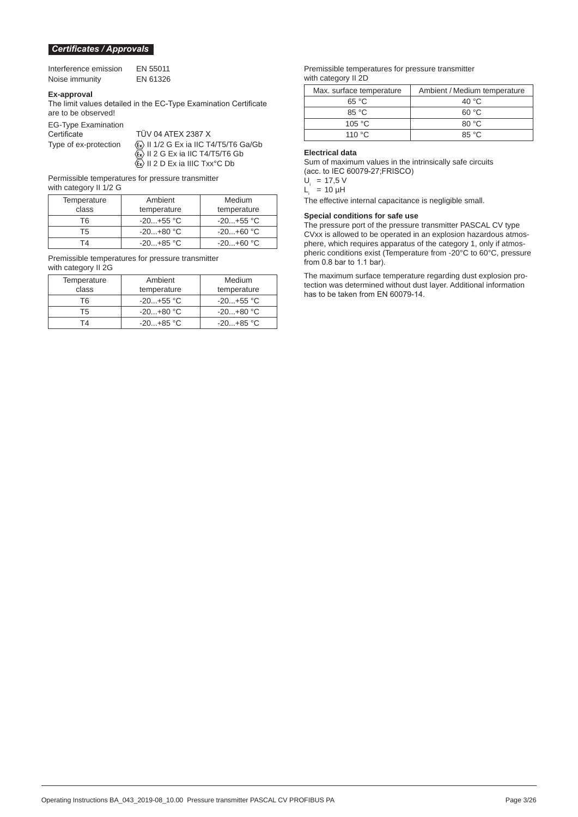#### *Certificates / Approvals*

| Interference emission | EN 55011 |
|-----------------------|----------|
| Noise immunity        | EN 61326 |

#### **Ex-approval**

The limit values detailed in the EC-Type Examination Certificate are to be observed!

EG-Type Examination

TÜV 04 ATEX 2387 X Type of ex-protection  $\langle x \rangle$  II 1/2 G Ex ia IIC T4/T5/T6 Ga/Gb  $\langle \overline{\mathbb{Q}} \rangle$  II 2 G Ex ia IIC T4/T5/T6 Gb  $\langle \overline{\mathbb{R}} \rangle$  II 2 D Ex ia IIIC Txx<sup>o</sup>C Db

Permissible temperatures for pressure transmitter with category II 1/2 G

| Temperature | Ambient     | Medium      |
|-------------|-------------|-------------|
| class       | temperature | temperature |
| T6.         | $-20+55$ °C | $-20+55$ °C |
| Т5          | $-20+80 °C$ | $-20+60$ °C |
| ГД          | $-20+85$ °C | $-20+60 °C$ |

Premissible temperatures for pressure transmitter with category II 2G

| Temperature | Ambient     | Medium      |
|-------------|-------------|-------------|
| class       | temperature | temperature |
| T6.         | $-20+55$ °C | -20+55 °C   |
| Т5          | $-20+80 °C$ | $-20+80$ °C |
| T4          | $-20+85$ °C | $-20+85$ °C |

#### Premissible temperatures for pressure transmitter with category II 2D

| Max. surface temperature | Ambient / Medium temperature |
|--------------------------|------------------------------|
| 65 °C                    | 40 $\degree$ C               |
| $85^{\circ}$ C           | 60 °C                        |
| 105 $\degree$ C          | 80 °C                        |
| 110 $\degree$ C.         | 85°C                         |

#### **Electrical data**

Sum of maximum values in the intrinsically safe circuits (acc. to IEC 60079-27;FRISCO)

 $U_i = 17,5 V$ 

 $L_i = 10 \mu H$ 

The effective internal capacitance is negligible small.

#### **Special conditions for safe use**

The pressure port of the pressure transmitter PASCAL CV type CVxx is allowed to be operated in an explosion hazardous atmosphere, which requires apparatus of the category 1, only if atmospheric conditions exist (Temperature from -20°C to 60°C, pressure from 0.8 bar to 1.1 bar).

The maximum surface temperature regarding dust explosion protection was determined without dust layer. Additional information has to be taken from EN 60079-14.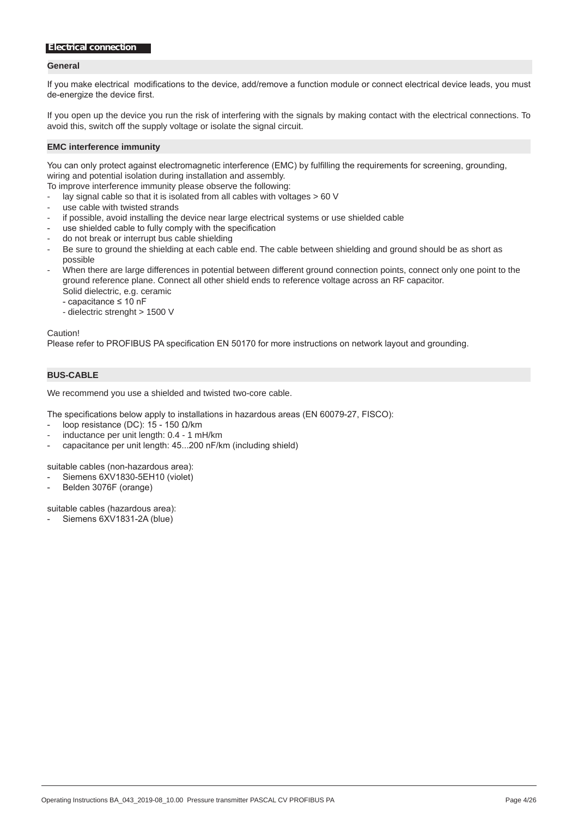#### *Electrical connection*

#### **General**

If you make electrical modifications to the device, add/remove a function module or connect electrical device leads, you must de-energize the device first.

If you open up the device you run the risk of interfering with the signals by making contact with the electrical connections. To avoid this, switch off the supply voltage or isolate the signal circuit.

#### **EMC interference immunity**

You can only protect against electromagnetic interference (EMC) by fulfilling the requirements for screening, grounding, wiring and potential isolation during installation and assembly.

To improve interference immunity please observe the following:

- lay signal cable so that it is isolated from all cables with voltages > 60 V
- use cable with twisted strands
- if possible, avoid installing the device near large electrical systems or use shielded cable
- use shielded cable to fully comply with the specification
- do not break or interrupt bus cable shielding
- Be sure to ground the shielding at each cable end. The cable between shielding and ground should be as short as possible
- When there are large differences in potential between different ground connection points, connect only one point to the ground reference plane. Connect all other shield ends to reference voltage across an RF capacitor. Solid dielectric, e.g. ceramic
	- capacitance ≤ 10 nF
	- dielectric strenght > 1500 V

Caution!

Please refer to PROFIBUS PA specification EN 50170 for more instructions on network layout and grounding.

#### **BUS-CABLE**

We recommend you use a shielded and twisted two-core cable.

The specifications below apply to installations in hazardous areas (EN 60079-27, FISCO):

- loop resistance (DC):  $15 150$  Ω/km
- inductance per unit length: 0.4 1 mH/km
- capacitance per unit length: 45...200 nF/km (including shield)

suitable cables (non-hazardous area):

- Siemens 6XV1830-5EH10 (violet)
- Belden 3076F (orange)

suitable cables (hazardous area):

Siemens 6XV1831-2A (blue)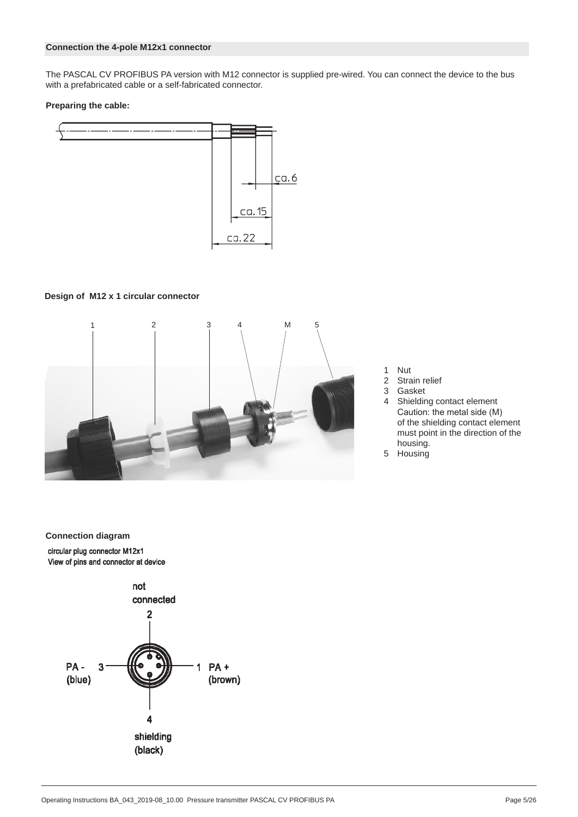#### **Connection the 4-pole M12x1 connector**

The PASCAL CV PROFIBUS PA version with M12 connector is supplied pre-wired. You can connect the device to the bus with a prefabricated cable or a self-fabricated connector.

#### **Preparing the cable:**



#### **Design of M12 x 1 circular connector**



- 1 Nut<br>2 Stra
- 2 Strain relief<br>3 Gasket
- **Gasket**
- 4 Shielding contact element Caution: the metal side (M) of the shielding contact element must point in the direction of the housing.
- 5 Housing

**Connection diagram** circular plug connector M12x1 View of pins and connector at device

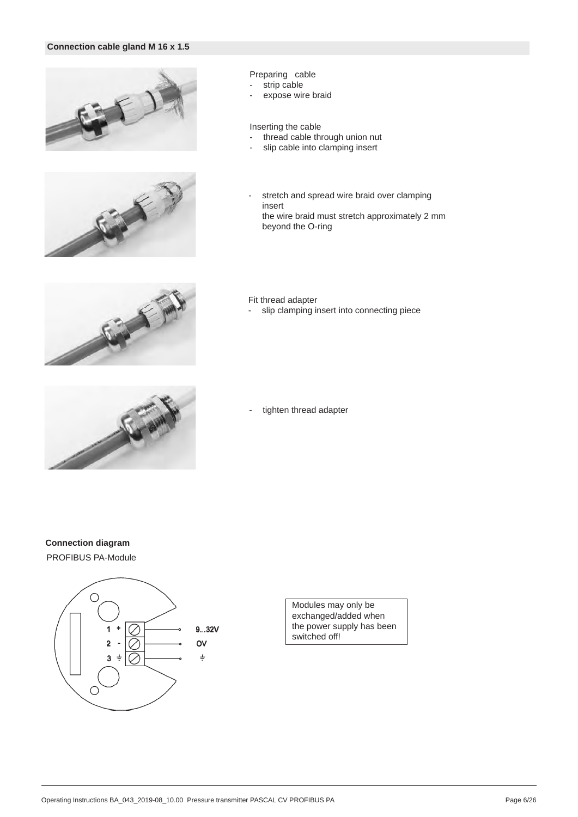#### **Connection cable gland M 16 x 1.5**





#### Preparing cable

- strip cable
- expose wire braid

#### Inserting the cable

- thread cable through union nut
- slip cable into clamping insert
- stretch and spread wire braid over clamping insert the wire braid must stretch approximately 2 mm beyond the O-ring



#### Fit thread adapter

- slip clamping insert into connecting piece



- tighten thread adapter

### **Connection diagram**

PROFIBUS PA-Module



Modules may only be exchanged/added when the power supply has been switched off!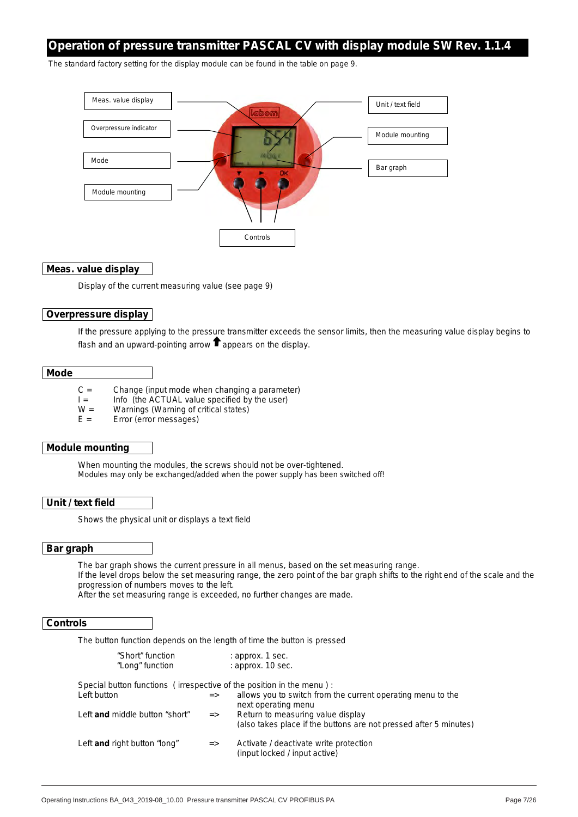# *Operation of pressure transmitter PASCAL CV with display module SW Rev. 1.1.4*

The standard factory setting for the display module can be found in the table on page 9.



#### **Meas. value display**

Display of the current measuring value (see page 9)

#### **Overpressure display**

If the pressure applying to the pressure transmitter exceeds the sensor limits, then the measuring value display begins to flash and an upward-pointing arrow  $\blacksquare$  appears on the display.

#### **Mode**

- $C =$  Change (input mode when changing a parameter)
- $I =$  Info (the ACTUAL value specified by the user)<br> $W =$  Warnings (Warning of critical states)
- Warnings (Warning of critical states)
- E = Error (error messages)

#### **Module mounting**

When mounting the modules, the screws should not be over-tightened. Modules may only be exchanged/added when the power supply has been switched off!

#### **Unit / text field**

Shows the physical unit or displays a text field

#### **Bar graph**

The bar graph shows the current pressure in all menus, based on the set measuring range.

If the level drops below the set measuring range, the zero point of the bar graph shifts to the right end of the scale and the progression of numbers moves to the left.

After the set measuring range is exceeded, no further changes are made.

#### **Controls**

The button function depends on the length of time the button is pressed

| "Short" function                                                     |               | : approx. 1 sec.                                                                                       |
|----------------------------------------------------------------------|---------------|--------------------------------------------------------------------------------------------------------|
| "Long" function                                                      |               | : approx. 10 sec.                                                                                      |
| Special button functions (irrespective of the position in the menu): |               |                                                                                                        |
| Left button                                                          | $\Rightarrow$ | allows you to switch from the current operating menu to the<br>next operating menu                     |
| Left and middle button "short"                                       | $\Rightarrow$ | Return to measuring value display<br>(also takes place if the buttons are not pressed after 5 minutes) |
| Left and right button "long"                                         | $\Rightarrow$ | Activate / deactivate write protection<br>(input locked / input active)                                |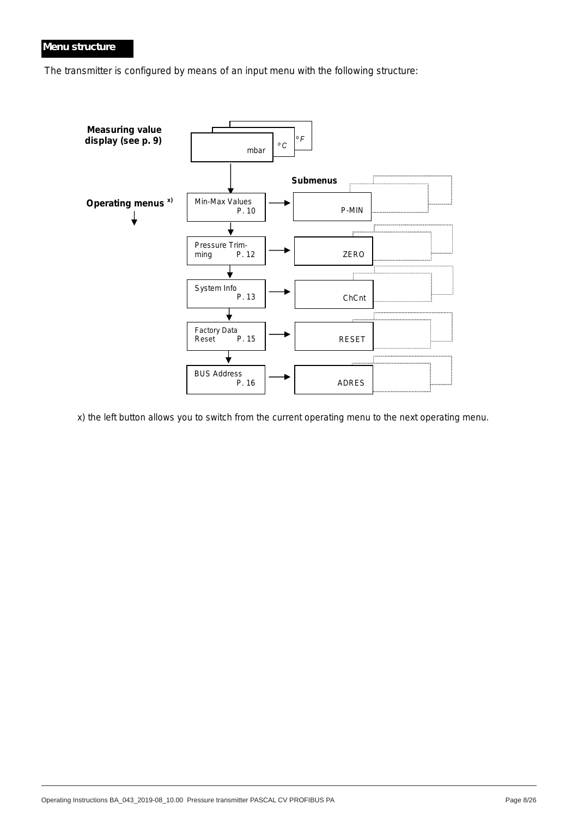### *Menu structure*

The transmitter is configured by means of an input menu with the following structure:



x) the left button allows you to switch from the current operating menu to the next operating menu.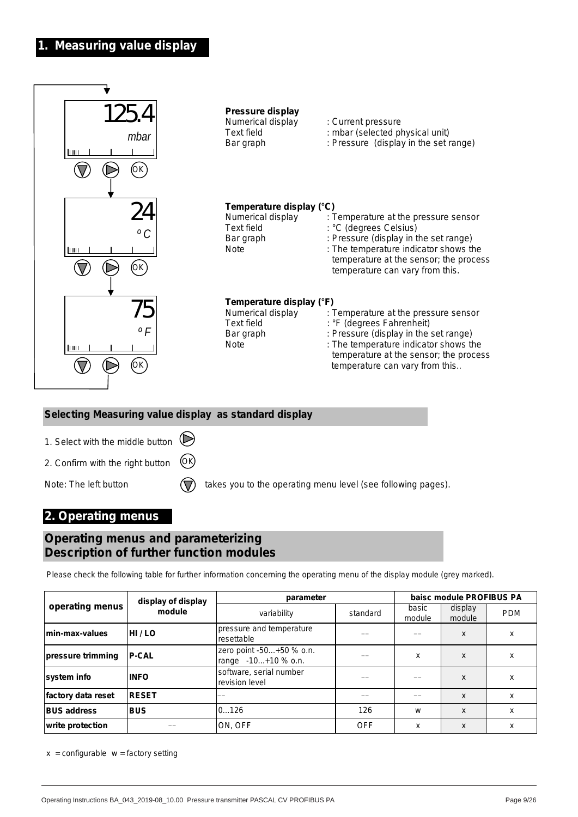# **1. Measuring value display**



# **2. Operating menus**

# **Operating menus and parameterizing Description of further function modules**

Please check the following table for further information concerning the operating menu of the display module (grey marked).

|                    | display of display | parameter                                       | baisc module PROFIBUS PA |                 |                   |            |  |  |
|--------------------|--------------------|-------------------------------------------------|--------------------------|-----------------|-------------------|------------|--|--|
| operating menus    | module             | variability                                     | standard                 | basic<br>module | display<br>module | <b>PDM</b> |  |  |
| min-max-values     | HI/LO              | pressure and temperature<br>resettable          |                          |                 | X                 | x          |  |  |
| pressure trimming  | <b>P-CAL</b>       | zero point -50+50 % o.n.<br>range -10+10 % o.n. |                          | x               | X                 | X          |  |  |
| system info        | <b>INFO</b>        | software, serial number<br>revision level       |                          |                 | $\boldsymbol{x}$  | x          |  |  |
| factory data reset | <b>RESET</b>       |                                                 |                          |                 | X                 | X          |  |  |
| <b>BUS address</b> | <b>BUS</b>         | 10126                                           | 126                      | W               | X                 | X          |  |  |
| write protection   |                    | ON, OFF                                         | <b>OFF</b>               | x               | X                 | X          |  |  |

 $x =$  configurable  $w =$  factory setting

BTA-No. 43 Rev. 1F4 Page 9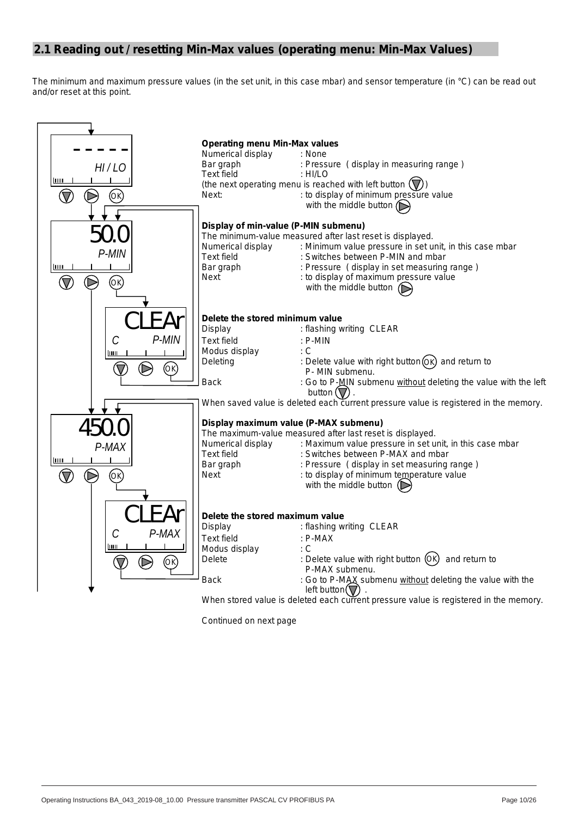## **2.1 Reading out / resetting Min-Max values (operating menu: Min-Max Values)**

The minimum and maximum pressure values (in the set unit, in this case *mbar*) and sensor temperature (in °*C*) can be read out and/or reset at this point.



*Continued on next page*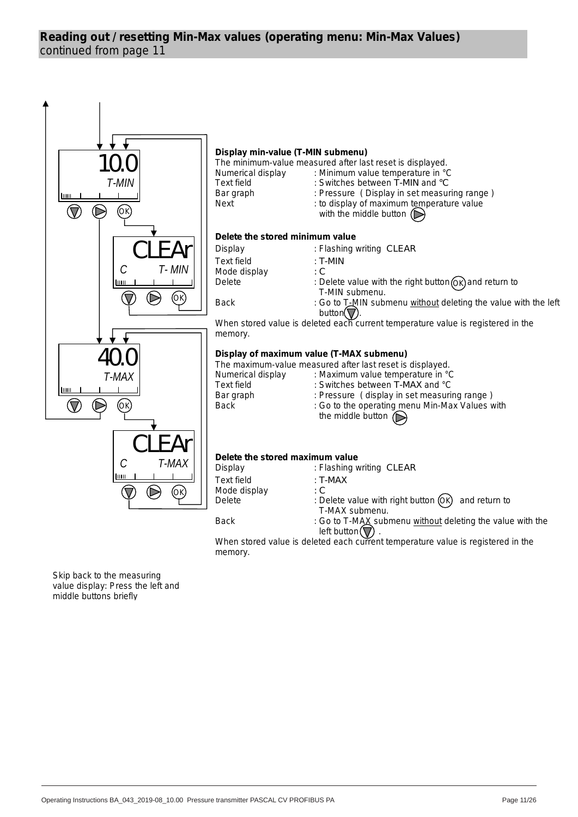# continued from page 11 **Reading out / resetting Min-Max values (operating menu: Min-Max Values)**



Skip back to the measuring value display: Press the left and middle buttons briefly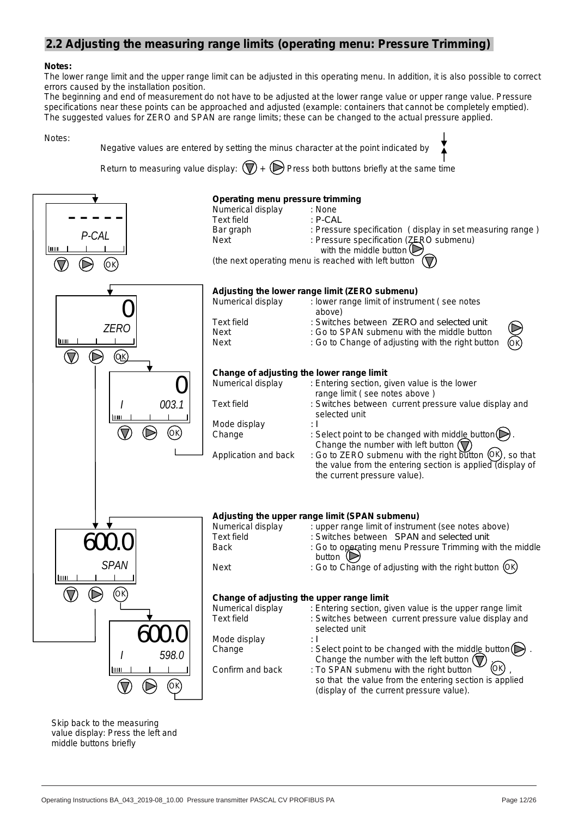## **2.2 Adjusting the measuring range limits (operating menu: Pressure Trimming)**

#### **Notes:**

The lower range limit and the upper range limit can be adjusted in this operating menu. In addition, it is also possible to correct errors caused by the installation position.

The beginning and end of measurement do not have to be adjusted at the lower range value or upper range value. Pressure specifications near these points can be approached and adjusted (example: containers that cannot be completely emptied). The suggested values for ZERO and SPAN are range limits; these can be changed to the actual pressure applied.

Notes:



Skip back to the measuring value display: Press the left and middle buttons briefly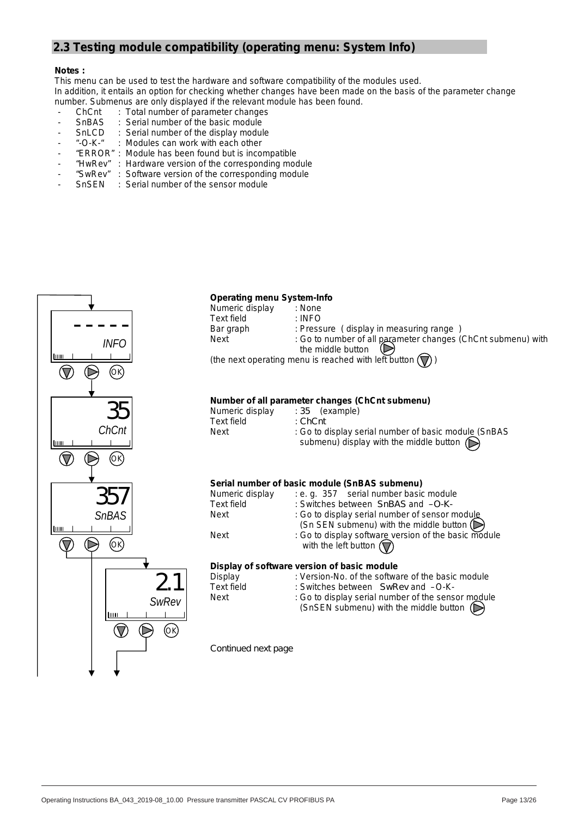# **2.3 Testing module compatibility (operating menu: System Info)**

#### **Notes :**

This menu can be used to test the hardware and software compatibility of the modules used. In addition, it entails an option for checking whether changes have been made on the basis of the parameter change number. Submenus are only displayed if the relevant module has been found.

- ChCnt : Total number of parameter changes<br>- SnBAS : Serial number of the basic module
- SnBAS : Serial number of the basic module<br>SnLCD : Serial number of the display modul
- SnLCD : Serial number of the display module<br>- "-O-K-" : Modules can work with each other
- "-O-K-" : Modules can work with each other
- "ERROR" : Module has been found but is incompatible
- "HwRev" : Hardware version of the corresponding module
- "SwRev" : Software version of the corresponding module
- SnSEN : Serial number of the sensor module

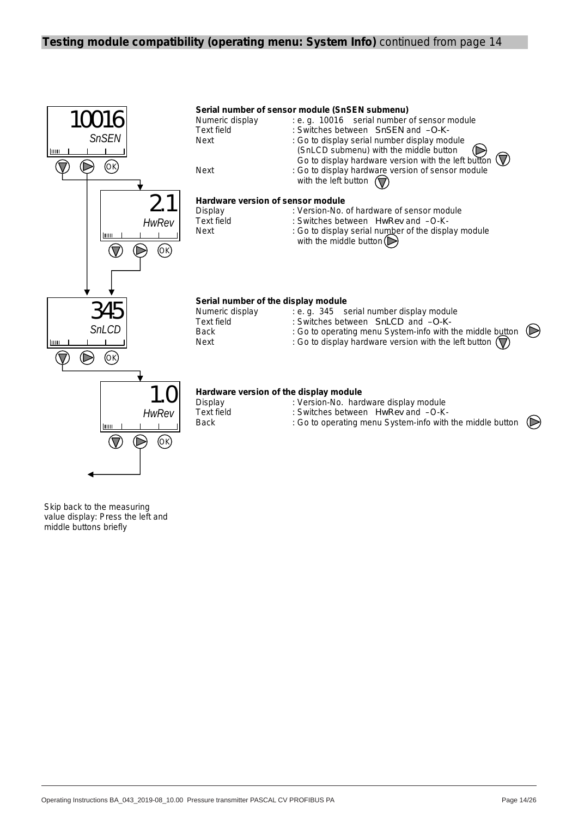### **Testing module compatibility (operating menu: System Info)** continued from page 14



*HwRev* Шщ  $(\nabla)$ ∩ OK

| Display    | : Version-No. hardware display module                       |
|------------|-------------------------------------------------------------|
| Text field | : Switches between HwRev and -O-K-                          |
| Back       | : Go to operating menu System-info with the middle button ( |

Skip back to the measuring value display: Press the left and middle buttons briefly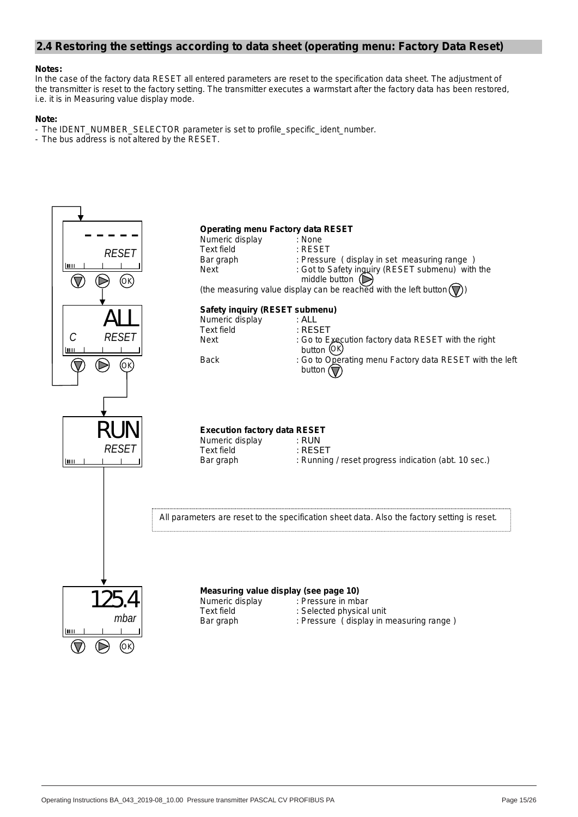### **2.4 Restoring the settings according to data sheet (operating menu: Factory Data Reset)**

#### **Notes:**

In the case of the factory data RESET all entered parameters are reset to the specification data sheet. The adjustment of the transmitter is reset to the factory setting. The transmitter executes a warmstart after the factory data has been restored, i.e. it is in Measuring value display mode.

#### **Note:**

- The IDENT\_NUMBER\_SELECTOR parameter is set to profile\_specific\_ident\_number.

- The bus address is not altered by the RESET.

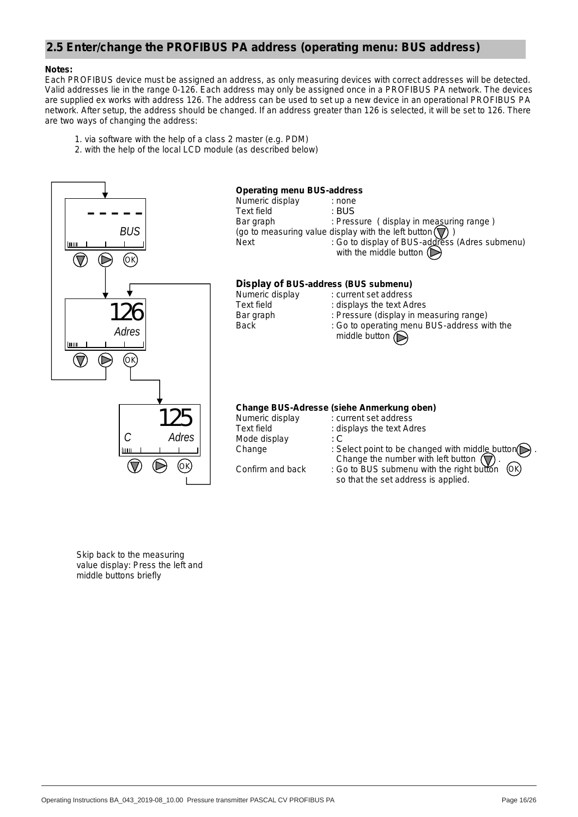# **2.5 Enter/change the PROFIBUS PA address (operating menu: BUS address)**

#### **Notes:**

Each PROFIBUS device must be assigned an address, as only measuring devices with correct addresses will be detected. Valid addresses lie in the range 0-126. Each address may only be assigned once in a PROFIBUS PA network. The devices are supplied ex works with address 126. The address can be used to set up a new device in an operational PROFIBUS PA network. After setup, the address should be changed. If an address greater than 126 is selected, it will be set to 126. There are two ways of changing the address:

- 1. via software with the help of a class 2 master (e.g. PDM)
- 2. with the help of the local LCD module (as described below)



Skip back to the measuring value display: Press the left and middle buttons briefly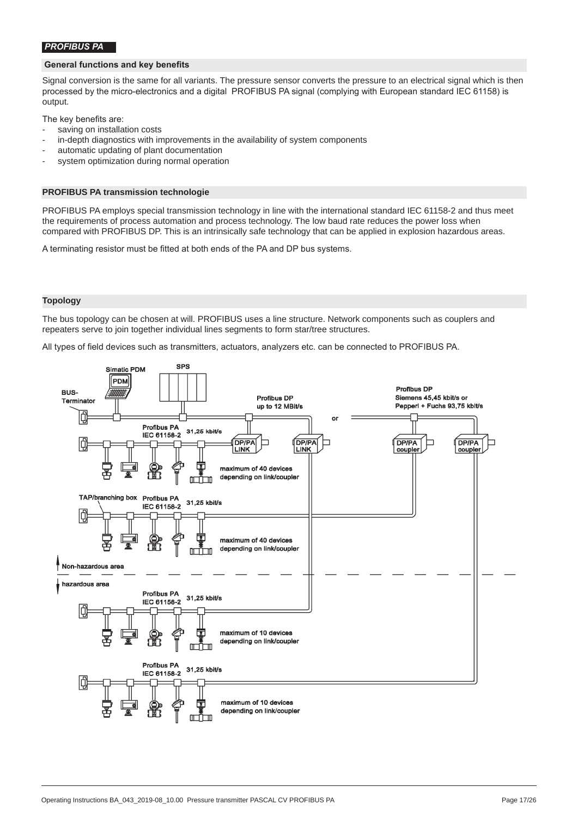#### *PROFIBUS PA*

#### **General functions and key benefits**

Signal conversion is the same for all variants. The pressure sensor converts the pressure to an electrical signal which is then processed by the micro-electronics and a digital PROFIBUS PA signal (complying with European standard IEC 61158) is output.

The key benefits are:

- saving on installation costs
- in-depth diagnostics with improvements in the availability of system components
- automatic updating of plant documentation
- system optimization during normal operation

#### **PROFIBUS PA transmission technologie**

PROFIBUS PA employs special transmission technology in line with the international standard IEC 61158-2 and thus meet the requirements of process automation and process technology. The low baud rate reduces the power loss when compared with PROFIBUS DP. This is an intrinsically safe technology that can be applied in explosion hazardous areas.

A terminating resistor must be fitted at both ends of the PA and DP bus systems.

#### **Topology**

The bus topology can be chosen at will. PROFIBUS uses a line structure. Network components such as couplers and repeaters serve to join together individual lines segments to form star/tree structures.

All types of field devices such as transmitters, actuators, analyzers etc. can be connected to PROFIBUS PA.

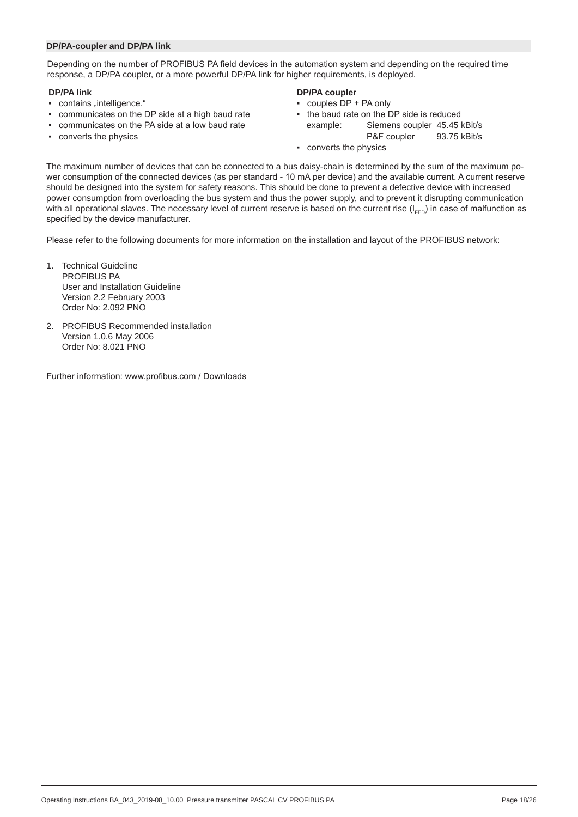#### **DP/PA-coupler and DP/PA link**

Depending on the number of PROFIBUS PA field devices in the automation system and depending on the required time response, a DP/PA coupler, or a more powerful DP/PA link for higher requirements, is deployed.

- **DP/PA link DP/PA coupler**
- communicates on the DP side at a high baud rate
- 
- 

- 
- couples DP + PA only<br>• the baud rate on the DP side is reduced ▪ communicates on the PA side at a low baud rate example: Siemens coupler 45.45 kBit/s ▪ converts the physics P&F coupler 93.75 kBit/s
	- converts the physics

The maximum number of devices that can be connected to a bus daisy-chain is determined by the sum of the maximum power consumption of the connected devices (as per standard - 10 mA per device) and the available current. A current reserve should be designed into the system for safety reasons. This should be done to prevent a defective device with increased power consumption from overloading the bus system and thus the power supply, and to prevent it disrupting communication with all operational slaves. The necessary level of current reserve is based on the current rise  $(I_{\text{E}})$  in case of malfunction as specified by the device manufacturer.

Please refer to the following documents for more information on the installation and layout of the PROFIBUS network:

- 1. Technical Guideline PROFIBUS PA User and Installation Guideline Version 2.2 February 2003 Order No: 2.092 PNO
- 2. PROFIBUS Recommended installation Version 1.0.6 May 2006 Order No: 8.021 PNO

Further information: www.profibus.com / Downloads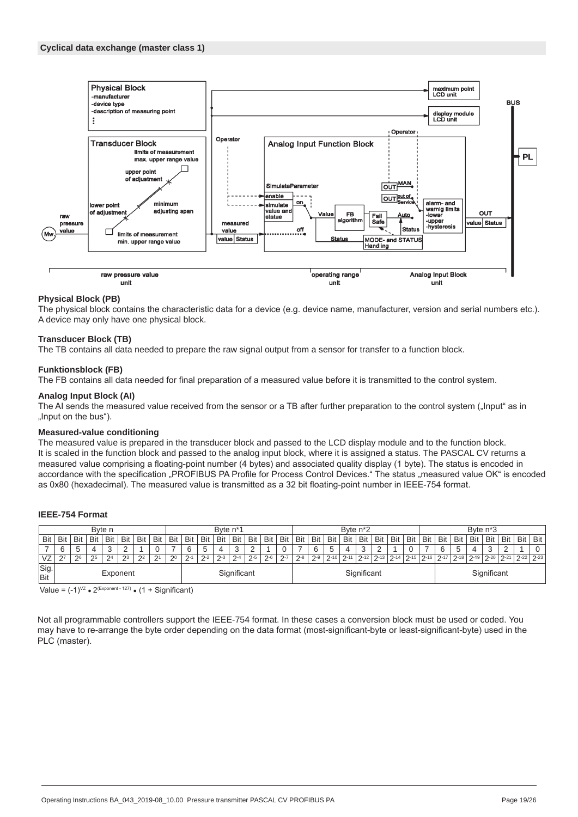

#### **Physical Block (PB)**

The physical block contains the characteristic data for a device (e.g. device name, manufacturer, version and serial numbers etc.). A device may only have one physical block.

#### **Transducer Block (TB)**

The TB contains all data needed to prepare the raw signal output from a sensor for transfer to a function block.

#### **Funktionsblock (FB)**

The FB contains all data needed for final preparation of a measured value before it is transmitted to the control system.

#### **Analog Input Block (AI)**

The AI sends the measured value received from the sensor or a TB after further preparation to the control system ("Input" as in "Input on the bus").

#### **Measured-value conditioning**

The measured value is prepared in the transducer block and passed to the LCD display module and to the function block. It is scaled in the function block and passed to the analog input block, where it is assigned a status. The PASCAL CV returns a measured value comprising a floating-point number (4 bytes) and associated quality display (1 byte). The status is encoded in accordance with the specification "PROFIBUS PA Profile for Process Control Devices." The status "measured value OK" is encoded as 0x80 (hexadecimal). The measured value is transmitted as a 32 bit floating-point number in IEEE-754 format.

#### **IEEE-754 Format**

| Byte n<br>Byte n <sup>*</sup> 1 |                         |     |                |                |       |                |     | Byte n <sup>*2</sup> |         |         |         |             |         |             |            | Byte n <sup>*</sup> 3 |       |          |           |          |          |     |     |                      |          |          |                 |          |     |     |                    |
|---------------------------------|-------------------------|-----|----------------|----------------|-------|----------------|-----|----------------------|---------|---------|---------|-------------|---------|-------------|------------|-----------------------|-------|----------|-----------|----------|----------|-----|-----|----------------------|----------|----------|-----------------|----------|-----|-----|--------------------|
| Bit                             | Bit                     | Bit | Bit            | Bit            | Bit   | Bit            | Bit | Bit                  | Bit     | Bit     | Bit     | Bit         | Bit     | Bit         | <b>Bit</b> | Bit                   | Bit   | Bit      | Bit       | Bit      | Bit      | Bit | Bit | Bit                  | Bit      | Bit      | Bit             | Bit      | Bit | Bit | Bit                |
|                                 | 6                       | 5   | $\overline{a}$ |                |       |                |     |                      |         | C       | 4       | J.          |         |             | 0          |                       |       | 5        | 4         |          |          |     |     |                      |          |          |                 |          |     |     |                    |
| VZ                              | הר                      | 26  | 2 <sub>5</sub> | 2 <sup>4</sup> | $2^3$ | 2 <sup>2</sup> | 21  | 20                   | $2 - 1$ | $2 - 2$ | $2 - 3$ | $\Omega$ -4 | $2 - 5$ | $2-6$       | $2 - 7$    | ′ -8                  | $2-9$ | $2 - 10$ | $\sim$ 11 | $7 - 12$ | $2 - 13$ |     |     | $7-14$ $7-15$ $7-16$ | $2 - 17$ | $7 - 18$ | $^{\circ}$ 2-19 | $2 - 20$ | 21  |     | $2^{2}$ 22 $2^{2}$ |
| Sig.<br>Bit                     | Significant<br>Exponent |     |                |                |       | Significant    |     |                      |         |         |         |             |         | Significant |            |                       |       |          |           |          |          |     |     |                      |          |          |                 |          |     |     |                    |

Value =  $(-1)^{VZ}$   $\bullet$  2<sup>(Exponent - 127)</sup>  $\bullet$  (1 + Significant)

Not all programmable controllers support the IEEE-754 format. In these cases a conversion block must be used or coded. You may have to re-arrange the byte order depending on the data format (most-significant-byte or least-significant-byte) used in the PLC (master).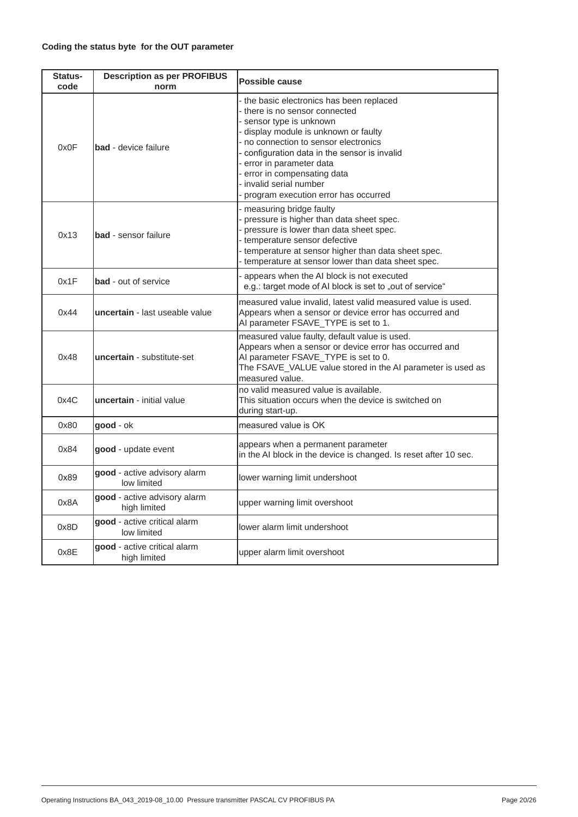| Status-<br>code | <b>Description as per PROFIBUS</b><br>norm   | <b>Possible cause</b>                                                                                                                                                                                                                                                                                                                                                        |
|-----------------|----------------------------------------------|------------------------------------------------------------------------------------------------------------------------------------------------------------------------------------------------------------------------------------------------------------------------------------------------------------------------------------------------------------------------------|
| 0x0F            | <b>bad</b> - device failure                  | - the basic electronics has been replaced<br>- there is no sensor connected<br>- sensor type is unknown<br>- display module is unknown or faulty<br>- no connection to sensor electronics<br>- configuration data in the sensor is invalid<br>- error in parameter data<br>- error in compensating data<br>- invalid serial number<br>- program execution error has occurred |
| 0x13            | <b>bad</b> - sensor failure                  | - measuring bridge faulty<br>- pressure is higher than data sheet spec.<br>- pressure is lower than data sheet spec.<br>- temperature sensor defective<br>- temperature at sensor higher than data sheet spec.<br>- temperature at sensor lower than data sheet spec.                                                                                                        |
| 0x1F            | <b>bad</b> - out of service                  | - appears when the AI block is not executed<br>e.g.: target mode of AI block is set to "out of service"                                                                                                                                                                                                                                                                      |
| 0x44            | uncertain - last useable value               | measured value invalid, latest valid measured value is used.<br>Appears when a sensor or device error has occurred and<br>AI parameter FSAVE_TYPE is set to 1.                                                                                                                                                                                                               |
| 0x48            | uncertain - substitute-set                   | measured value faulty, default value is used.<br>Appears when a sensor or device error has occurred and<br>AI parameter FSAVE_TYPE is set to 0.<br>The FSAVE_VALUE value stored in the AI parameter is used as<br>measured value.                                                                                                                                            |
| 0x4C            | uncertain - initial value                    | no valid measured value is available.<br>This situation occurs when the device is switched on<br>during start-up.                                                                                                                                                                                                                                                            |
| 0x80            | good - ok                                    | measured value is OK                                                                                                                                                                                                                                                                                                                                                         |
| 0x84            | good - update event                          | appears when a permanent parameter<br>in the AI block in the device is changed. Is reset after 10 sec.                                                                                                                                                                                                                                                                       |
| 0x89            | good - active advisory alarm<br>low limited  | lower warning limit undershoot                                                                                                                                                                                                                                                                                                                                               |
| 0x8A            | good - active advisory alarm<br>high limited | upper warning limit overshoot                                                                                                                                                                                                                                                                                                                                                |
| 0x8D            | good - active critical alarm<br>low limited  | lower alarm limit undershoot                                                                                                                                                                                                                                                                                                                                                 |
| 0x8E            | good - active critical alarm<br>high limited | upper alarm limit overshoot                                                                                                                                                                                                                                                                                                                                                  |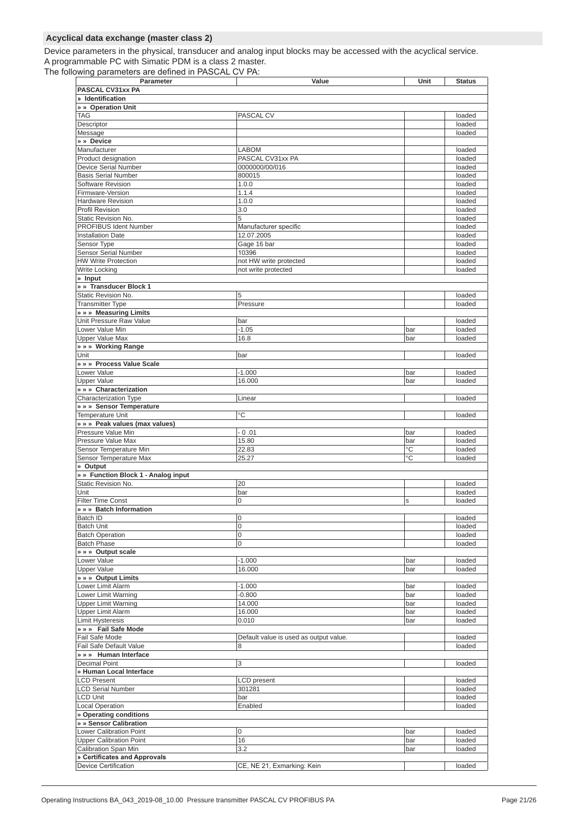#### **Acyclical data exchange (master class 2)**

Device parameters in the physical, transducer and analog input blocks may be accessed with the acyclical service. A programmable PC with Simatic PDM is a class 2 master.

The following parameters are defined in PASCAL CV PA:

| Parameter                           | Value                                  | Unit | <b>Status</b> |
|-------------------------------------|----------------------------------------|------|---------------|
| PASCAL CV31xx PA                    |                                        |      |               |
| » Identification                    |                                        |      |               |
| » » Operation Unit                  |                                        |      |               |
| TAG                                 | PASCAL CV                              |      | loaded        |
| Descriptor                          |                                        |      | loaded        |
| Message                             |                                        |      | loaded        |
| » » Device                          |                                        |      |               |
| Manufacturer                        | LABOM                                  |      | loaded        |
| Product designation                 | PASCAL CV31xx PA                       |      | loaded        |
| Device Serial Number                | 0000000/00/016                         |      | loaded        |
| <b>Basis Serial Number</b>          | 800015                                 |      | loaded        |
| Software Revision                   | 1.0.0                                  |      | loaded        |
| Firmware-Version                    | 1.1.4                                  |      | loaded        |
| <b>Hardware Revision</b>            | 1.0.0                                  |      | loaded        |
| Profil Revision                     | 3.0                                    |      | loaded        |
| Static Revision No.                 | 5                                      |      | loaded        |
| <b>PROFIBUS Ident Number</b>        | Manufacturer specific                  |      | loaded        |
| <b>Installation Date</b>            | 12.07.2005                             |      | loaded        |
| Sensor Type                         | Gage 16 bar                            |      | loaded        |
| <b>Sensor Serial Number</b>         | 10396                                  |      | loaded        |
| <b>HW Write Protection</b>          | not HW write protected                 |      | loaded        |
| <b>Write Locking</b>                | not write protected                    |      | loaded        |
| » Input                             |                                        |      |               |
| » » Transducer Block 1              |                                        |      |               |
| Static Revision No.                 | 5                                      |      | loaded        |
| <b>Transmitter Type</b>             | Pressure                               |      | loaded        |
| » » Measuring Limits                |                                        |      |               |
| Unit Pressure Raw Value             | bar                                    |      | loaded        |
| Lower Value Min                     | $-1.05$                                | bar  | loaded        |
| <b>Upper Value Max</b>              | 16.8                                   | bar  | loaded        |
| » » » Working Range                 |                                        |      |               |
| Unit                                | bar                                    |      | loaded        |
| » » » Process Value Scale           |                                        |      |               |
| Lower Value                         | $-1.000$                               | bar  | loaded        |
| <b>Upper Value</b>                  | 16.000                                 | bar  | loaded        |
| » » Characterization                |                                        |      |               |
| <b>Characterization Type</b>        | Linear                                 |      | loaded        |
| » » » Sensor Temperature            |                                        |      |               |
| <b>Temperature Unit</b>             | °C                                     |      | loaded        |
| » » » Peak values (max values)      |                                        |      |               |
| Pressure Value Min                  | $-0.01$                                | bar  | loaded        |
| Pressure Value Max                  | 15.80                                  | bar  | loaded        |
| Sensor Temperature Min              | 22.83                                  | °C   | loaded        |
| Sensor Temperature Max              | 25.27                                  | °C   | loaded        |
| » Output                            |                                        |      |               |
| » » Function Block 1 - Analog input |                                        |      |               |
| Static Revision No.                 | 20                                     |      | loaded        |
| Unit                                | bar                                    |      | loaded        |
| <b>Filter Time Const</b>            | 0                                      | S    | loaded        |
| » » Batch Information               |                                        |      |               |
| Batch ID                            | 0                                      |      | loaded        |
| <b>Batch Unit</b>                   | 0                                      |      | loaded        |
| <b>Batch Operation</b>              | 0                                      |      | loaded        |
| <b>Batch Phase</b>                  | 0                                      |      | loaded        |
| » » » Output scale                  |                                        |      |               |
| Lower Value                         | $-1.000$                               | bar  | loaded        |
| <b>Upper Value</b>                  | 16.000                                 | bar  | loaded        |
| » » » Output Limits                 |                                        |      |               |
| Lower Limit Alarm                   | $-1.000$                               | bar  | loaded        |
| Lower Limit Warning                 | $-0.800$                               | bar  | loaded        |
| <b>Upper Limit Warning</b>          | 14.000                                 | bar  | loaded        |
| <b>Upper Limit Alarm</b>            | 16.000                                 | bar  | loaded        |
| <b>Limit Hysteresis</b>             | 0.010                                  | bar  | loaded        |
| » » » Fail Safe Mode                |                                        |      |               |
| Fail Safe Mode                      | Default value is used as output value. |      | loaded        |
| Fail Safe Default Value             | 8                                      |      | loaded        |
| » » Human Interface                 |                                        |      |               |
| <b>Decimal Point</b>                | 3                                      |      | loaded        |
| » Human Local Interface             |                                        |      |               |
| <b>LCD Present</b>                  | <b>LCD</b> present                     |      | loaded        |
| <b>LCD Serial Number</b>            | 301281                                 |      | loaded        |
| <b>LCD Unit</b>                     | bar                                    |      | loaded        |
| <b>Local Operation</b>              | Enabled                                |      | loaded        |
| » Operating conditions              |                                        |      |               |
| » » Sensor Calibration              |                                        |      |               |
| Lower Calibration Point             | 0                                      | bar  | loaded        |
| <b>Upper Calibration Point</b>      | 16                                     | bar  | loaded        |
| Calibration Span Min                | 3.2                                    | bar  | loaded        |
| » Certificates and Approvals        |                                        |      |               |
| <b>Device Certification</b>         | CE, NE 21, Exmarking: Kein             |      | loaded        |
|                                     |                                        |      |               |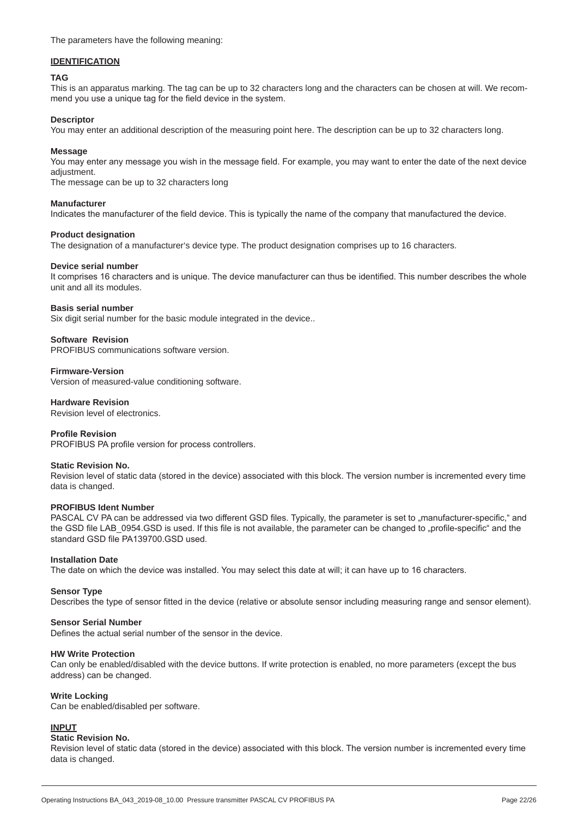The parameters have the following meaning:

#### **IDENTIFICATION**

#### **TAG**

This is an apparatus marking. The tag can be up to 32 characters long and the characters can be chosen at will. We recommend you use a unique tag for the field device in the system.

#### **Descriptor**

You may enter an additional description of the measuring point here. The description can be up to 32 characters long.

#### **Message**

You may enter any message you wish in the message field. For example, you may want to enter the date of the next device adjustment.

The message can be up to 32 characters long

# **Manufacturer**

Indicates the manufacturer of the field device. This is typically the name of the company that manufactured the device.

#### **Product designation**

The designation of a manufacturer's device type. The product designation comprises up to 16 characters.

#### **Device serial number**

It comprises 16 characters and is unique. The device manufacturer can thus be identified. This number describes the whole unit and all its modules.

#### **Basis serial number**

Six digit serial number for the basic module integrated in the device..

#### **Software Revision**

PROFIBUS communications software version.

#### **Firmware-Version**

Version of measured-value conditioning software.

#### **Hardware Revision**

Revision level of electronics.

#### **Profile Revision**

PROFIBUS PA profile version for process controllers.

#### **Static Revision No.**

Revision level of static data (stored in the device) associated with this block. The version number is incremented every time data is changed.

#### **PROFIBUS Ident Number**

PASCAL CV PA can be addressed via two different GSD files. Typically, the parameter is set to "manufacturer-specific," and the GSD file LAB 0954.GSD is used. If this file is not available, the parameter can be changed to "profile-specific" and the standard GSD file PA139700.GSD used.

#### **Installation Date**

The date on which the device was installed. You may select this date at will; it can have up to 16 characters.

#### **Sensor Type**

Describes the type of sensor fitted in the device (relative or absolute sensor including measuring range and sensor element).

#### **Sensor Serial Number**

Defines the actual serial number of the sensor in the device.

#### **HW Write Protection**

Can only be enabled/disabled with the device buttons. If write protection is enabled, no more parameters (except the bus address) can be changed.

#### **Write Locking**

Can be enabled/disabled per software.

#### **INPUT**

#### **Static Revision No.**

Revision level of static data (stored in the device) associated with this block. The version number is incremented every time data is changed.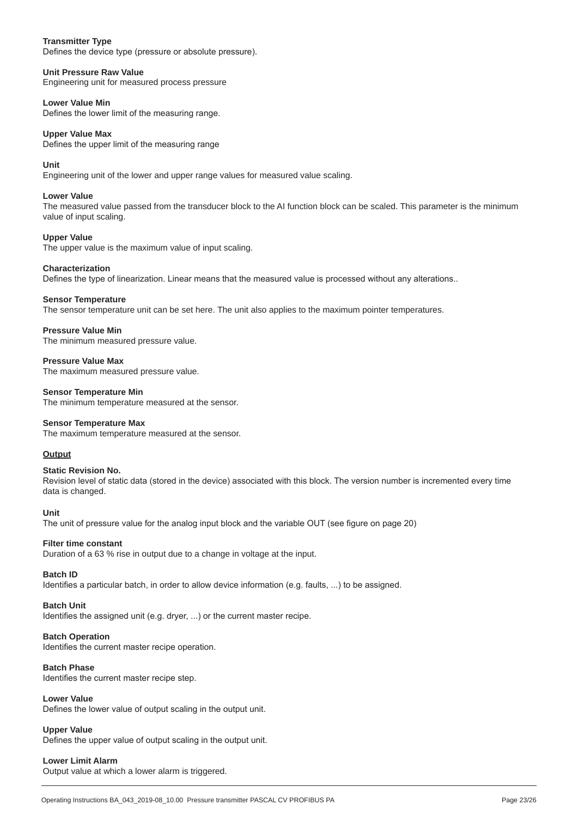#### **Transmitter Type**

Defines the device type (pressure or absolute pressure).

#### **Unit Pressure Raw Value**

Engineering unit for measured process pressure

#### **Lower Value Min**

Defines the lower limit of the measuring range.

#### **Upper Value Max**

Defines the upper limit of the measuring range

#### **Unit**

Engineering unit of the lower and upper range values for measured value scaling.

#### **Lower Value**

The measured value passed from the transducer block to the AI function block can be scaled. This parameter is the minimum value of input scaling.

#### **Upper Value**

The upper value is the maximum value of input scaling.

#### **Characterization**

Defines the type of linearization. Linear means that the measured value is processed without any alterations..

#### **Sensor Temperature**

The sensor temperature unit can be set here. The unit also applies to the maximum pointer temperatures.

#### **Pressure Value Min**

The minimum measured pressure value.

**Pressure Value Max** The maximum measured pressure value.

#### **Sensor Temperature Min**

The minimum temperature measured at the sensor.

#### **Sensor Temperature Max**

The maximum temperature measured at the sensor.

#### **Output**

#### **Static Revision No.**

Revision level of static data (stored in the device) associated with this block. The version number is incremented every time data is changed.

#### **Unit**

The unit of pressure value for the analog input block and the variable OUT (see figure on page 20)

#### **Filter time constant**

Duration of a 63 % rise in output due to a change in voltage at the input.

#### **Batch ID**

Identifies a particular batch, in order to allow device information (e.g. faults, ...) to be assigned.

#### **Batch Unit**

Identifies the assigned unit (e.g. dryer, ...) or the current master recipe.

#### **Batch Operation**

Identifies the current master recipe operation.

#### **Batch Phase**

Identifies the current master recipe step.

### **Lower Value**

Defines the lower value of output scaling in the output unit.

### **Upper Value**

Defines the upper value of output scaling in the output unit.

### **Lower Limit Alarm**

Output value at which a lower alarm is triggered.

 $B_{\rm eff}$  and  $B_{\rm eff}$   $B_{\rm eff}$   $B_{\rm eff}$   $B_{\rm eff}$   $B_{\rm eff}$   $B_{\rm eff}$   $B_{\rm eff}$   $B_{\rm eff}$   $B_{\rm eff}$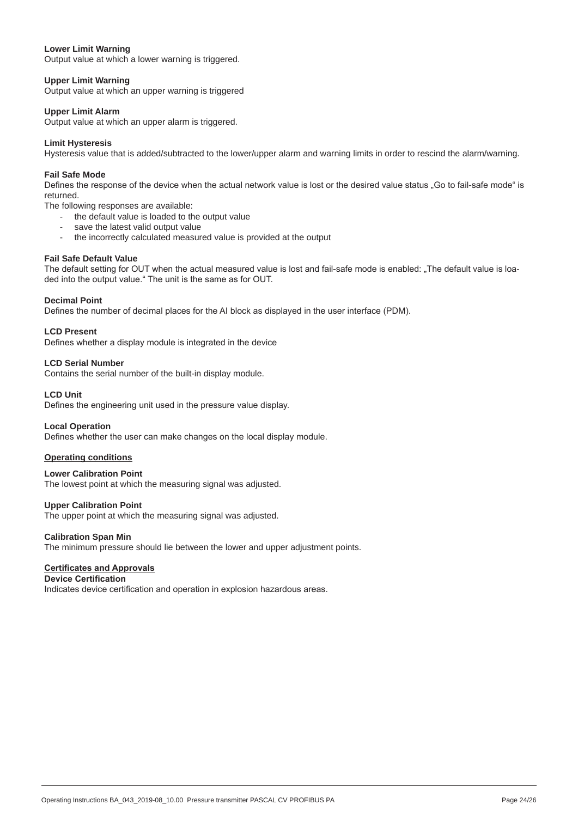#### **Lower Limit Warning**

Output value at which a lower warning is triggered.

#### **Upper Limit Warning**

Output value at which an upper warning is triggered

#### **Upper Limit Alarm**

Output value at which an upper alarm is triggered.

#### **Limit Hysteresis**

Hysteresis value that is added/subtracted to the lower/upper alarm and warning limits in order to rescind the alarm/warning.

#### **Fail Safe Mode**

Defines the response of the device when the actual network value is lost or the desired value status "Go to fail-safe mode" is returned.

The following responses are available:

- the default value is loaded to the output value
- save the latest valid output value
- the incorrectly calculated measured value is provided at the output

#### **Fail Safe Default Value**

The default setting for OUT when the actual measured value is lost and fail-safe mode is enabled: "The default value is loaded into the output value." The unit is the same as for OUT.

#### **Decimal Point**

Defines the number of decimal places for the AI block as displayed in the user interface (PDM).

#### **LCD Present**

Defines whether a display module is integrated in the device

#### **LCD Serial Number**

Contains the serial number of the built-in display module.

#### **LCD Unit**

Defines the engineering unit used in the pressure value display.

#### **Local Operation**

Defines whether the user can make changes on the local display module.

#### **Operating conditions**

**Lower Calibration Point** The lowest point at which the measuring signal was adjusted.

#### **Upper Calibration Point**

The upper point at which the measuring signal was adjusted.

#### **Calibration Span Min**

The minimum pressure should lie between the lower and upper adjustment points.

#### **Certificates and Approvals**

#### **Device Certification**

Indicates device certification and operation in explosion hazardous areas.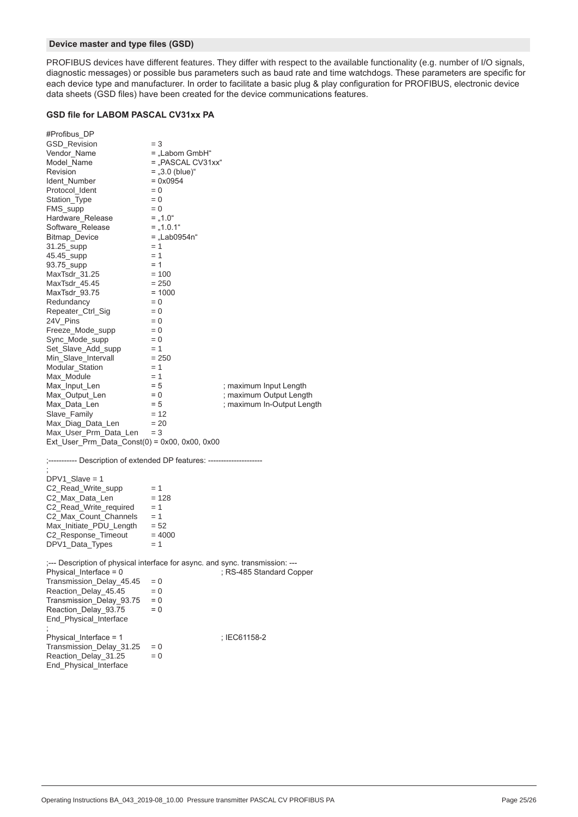#### **Device master and type files (GSD)**

PROFIBUS devices have different features. They differ with respect to the available functionality (e.g. number of I/O signals, diagnostic messages) or possible bus parameters such as baud rate and time watchdogs. These parameters are specific for each device type and manufacturer. In order to facilitate a basic plug & play configuration for PROFIBUS, electronic device data sheets (GSD files) have been created for the device communications features.

#### **GSD file for LABOM PASCAL CV31xx PA**

| #Profibus_DP                                                                         |                     |                            |
|--------------------------------------------------------------------------------------|---------------------|----------------------------|
| GSD_Revision                                                                         | $=$ 3               |                            |
| Vendor_Name                                                                          | = "Labom GmbH"      |                            |
| Model_Name                                                                           | $=$ "PASCAL CV31xx" |                            |
| Revision                                                                             | $=$ "3.0 (blue)"    |                            |
| Ident_Number                                                                         | $= 0x0954$          |                            |
| Protocol_Ident                                                                       | $= 0$               |                            |
| Station_Type                                                                         | $= 0$               |                            |
| FMS_supp                                                                             | $= 0$               |                            |
| Hardware_Release                                                                     | $=$ , 1.0"          |                            |
| Software_Release                                                                     | $=$ , 1.0.1"        |                            |
| Bitmap_Device                                                                        | $=$ "Lab0954n"      |                            |
| 31.25_supp                                                                           | $= 1$               |                            |
| 45.45_supp                                                                           | $= 1$               |                            |
| 93.75 supp                                                                           | $= 1$               |                            |
| MaxTsdr_31.25                                                                        | $= 100$             |                            |
| MaxTsdr_45.45                                                                        | $= 250$             |                            |
| MaxTsdr_93.75                                                                        | $= 1000$            |                            |
| Redundancy                                                                           | $= 0$               |                            |
| Repeater_Ctrl_Sig                                                                    | $= 0$               |                            |
| 24V_Pins                                                                             | $= 0$               |                            |
| Freeze_Mode_supp                                                                     | $= 0$               |                            |
| Sync_Mode_supp                                                                       | $= 0$               |                            |
| Set_Slave_Add_supp                                                                   | $= 1$               |                            |
| Min_Slave_Intervall                                                                  | $= 250$             |                            |
| Modular_Station                                                                      | $= 1$               |                            |
| Max_Module                                                                           | $= 1$               |                            |
| Max_Input_Len                                                                        | $= 5$               | ; maximum Input Length     |
| Max_Output_Len                                                                       | $= 0$               | ; maximum Output Length    |
|                                                                                      | $= 5$               |                            |
| Max_Data_Len                                                                         |                     | ; maximum In-Output Length |
| Slave_Family                                                                         | $= 12$              |                            |
| Max_Diag_Data_Len                                                                    | $= 20$              |                            |
| $Max_User_Prm_Data_Len = 3$<br>Ext_User_Prm_Data_Const(0) = $0x00$ , $0x00$ , $0x00$ |                     |                            |
|                                                                                      |                     |                            |
| ;----------- Description of extended DP features: ------------------                 |                     |                            |
|                                                                                      |                     |                            |
| $DPV1_Slave = 1$                                                                     |                     |                            |
| C2_Read_Write_supp                                                                   | $= 1$               |                            |
| C2_Max_Data_Len                                                                      | $= 128$             |                            |
| C2_Read_Write_required                                                               | $= 1$               |                            |
| C2_Max_Count_Channels                                                                | $= 1$               |                            |
| $Max_$ Initiate_PDU_Length = 52                                                      |                     |                            |
| C2_Response_Timeout                                                                  | $= 4000$            |                            |
| DPV1_Data_Types                                                                      | $= 1$               |                            |
|                                                                                      |                     |                            |
| ;--- Description of physical interface for async. and sync. transmission: ---        |                     |                            |
| Physical_Interface = $0$                                                             |                     | ; RS-485 Standard Copper   |
| Transmission_Delay_45.45                                                             | $= 0$               |                            |
| Reaction_Delay_45.45                                                                 | $= 0$               |                            |
| Transmission_Delay_93.75                                                             | $= 0$               |                            |
| Reaction_Delay_93.75                                                                 | $= 0$               |                            |
| End_Physical_Interface                                                               |                     |                            |
| Physical_Interface = 1                                                               |                     | ; IEC61158-2               |
| Transmission_Delay_31.25                                                             | $= 0$               |                            |
| Reaction_Delay_31.25                                                                 | $= 0$               |                            |
| End_Physical_Interface                                                               |                     |                            |
|                                                                                      |                     |                            |